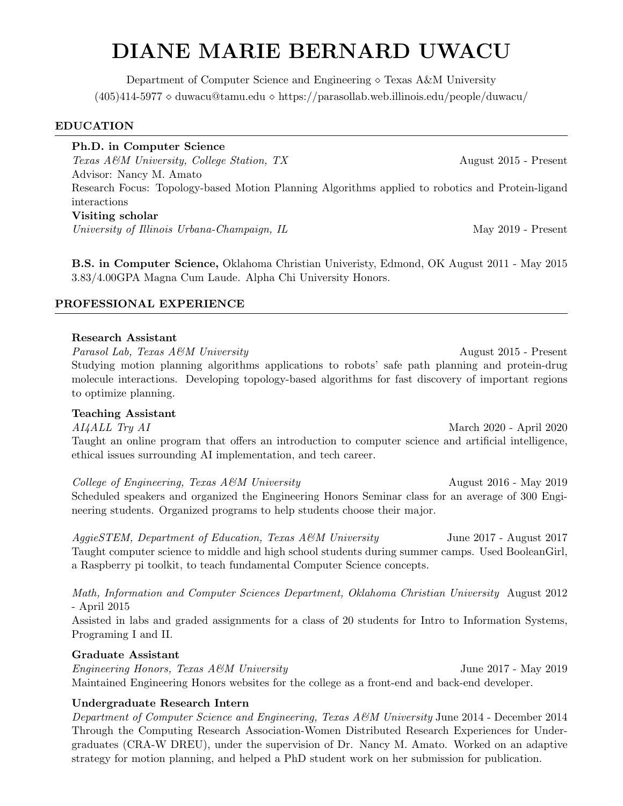# DIANE MARIE BERNARD UWACU

Department of Computer Science and Engineering  $\Diamond$  Texas A&M University  $(405)414-5977$   $\diamond$  duwacu@tamu.edu  $\diamond$  https://parasollab.web.illinois.edu/people/duwacu/

### EDUCATION

Ph.D. in Computer Science Texas A&M University, College Station, TX August 2015 - Present Advisor: Nancy M. Amato Research Focus: Topology-based Motion Planning Algorithms applied to robotics and Protein-ligand interactions Visiting scholar University of Illinois Urbana-Champaign, IL May 2019 - Present

B.S. in Computer Science, Oklahoma Christian Univeristy, Edmond, OK August 2011 - May 2015 3.83/4.00GPA Magna Cum Laude. Alpha Chi University Honors.

### PROFESSIONAL EXPERIENCE

#### Research Assistant

Parasol Lab, Texas A&M University August 2015 - Present Studying motion planning algorithms applications to robots' safe path planning and protein-drug molecule interactions. Developing topology-based algorithms for fast discovery of important regions to optimize planning.

#### Teaching Assistant

AI4ALL Try AI March 2020 - April 2020 Taught an online program that offers an introduction to computer science and artificial intelligence, ethical issues surrounding AI implementation, and tech career.

College of Engineering, Texas A&M University August 2016 - May 2019 Scheduled speakers and organized the Engineering Honors Seminar class for an average of 300 Engineering students. Organized programs to help students choose their major.

AggieSTEM, Department of Education, Texas A&M University June 2017 - August 2017 Taught computer science to middle and high school students during summer camps. Used BooleanGirl, a Raspberry pi toolkit, to teach fundamental Computer Science concepts.

Math, Information and Computer Sciences Department, Oklahoma Christian University August 2012 - April 2015

Assisted in labs and graded assignments for a class of 20 students for Intro to Information Systems, Programing I and II.

### Graduate Assistant

Engineering Honors, Texas A&M University June 2017 - May 2019 Maintained Engineering Honors websites for the college as a front-end and back-end developer.

# Undergraduate Research Intern

Department of Computer Science and Engineering, Texas  $A\&M$  University June 2014 - December 2014 Through the Computing Research Association-Women Distributed Research Experiences for Undergraduates (CRA-W DREU), under the supervision of Dr. Nancy M. Amato. Worked on an adaptive strategy for motion planning, and helped a PhD student work on her submission for publication.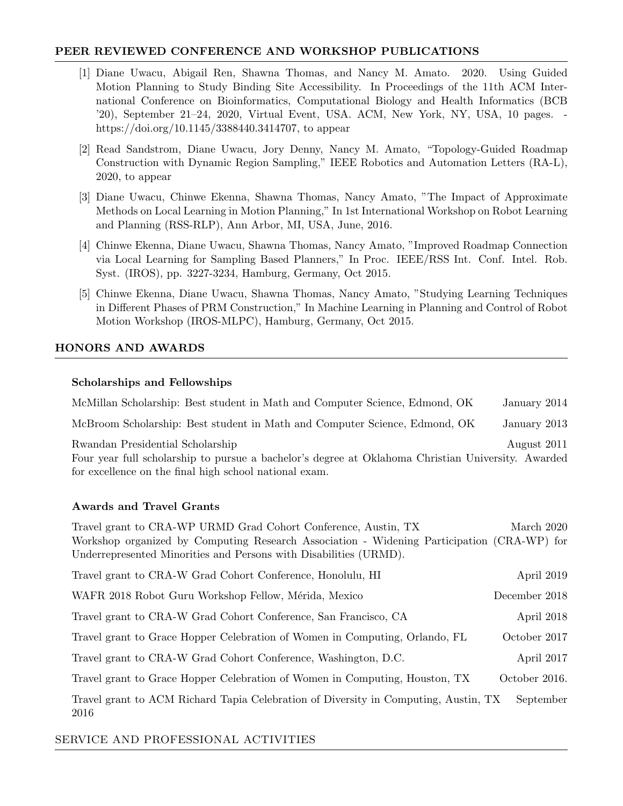## PEER REVIEWED CONFERENCE AND WORKSHOP PUBLICATIONS

- [1] Diane Uwacu, Abigail Ren, Shawna Thomas, and Nancy M. Amato. 2020. Using Guided Motion Planning to Study Binding Site Accessibility. In Proceedings of the 11th ACM International Conference on Bioinformatics, Computational Biology and Health Informatics (BCB '20), September 21–24, 2020, Virtual Event, USA. ACM, New York, NY, USA, 10 pages. https://doi.org/10.1145/3388440.3414707, to appear
- [2] Read Sandstrom, Diane Uwacu, Jory Denny, Nancy M. Amato, "Topology-Guided Roadmap Construction with Dynamic Region Sampling," IEEE Robotics and Automation Letters (RA-L), 2020, to appear
- [3] Diane Uwacu, Chinwe Ekenna, Shawna Thomas, Nancy Amato, "The Impact of Approximate Methods on Local Learning in Motion Planning," In 1st International Workshop on Robot Learning and Planning (RSS-RLP), Ann Arbor, MI, USA, June, 2016.
- [4] Chinwe Ekenna, Diane Uwacu, Shawna Thomas, Nancy Amato, "Improved Roadmap Connection via Local Learning for Sampling Based Planners," In Proc. IEEE/RSS Int. Conf. Intel. Rob. Syst. (IROS), pp. 3227-3234, Hamburg, Germany, Oct 2015.
- [5] Chinwe Ekenna, Diane Uwacu, Shawna Thomas, Nancy Amato, "Studying Learning Techniques in Different Phases of PRM Construction," In Machine Learning in Planning and Control of Robot Motion Workshop (IROS-MLPC), Hamburg, Germany, Oct 2015.

# HONORS AND AWARDS

### Scholarships and Fellowships

McMillan Scholarship: Best student in Math and Computer Science, Edmond, OK January 2014 McBroom Scholarship: Best student in Math and Computer Science, Edmond, OK January 2013 Rwandan Presidential Scholarship August 2011 Four year full scholarship to pursue a bachelor's degree at Oklahoma Christian University. Awarded for excellence on the final high school national exam.

# Awards and Travel Grants

Travel grant to CRA-WP URMD Grad Cohort Conference, Austin, TX March 2020 Workshop organized by Computing Research Association - Widening Participation (CRA-WP) for Underrepresented Minorities and Persons with Disabilities (URMD). Travel grant to CRA-W Grad Cohort Conference, Honolulu, HI April 2019 WAFR 2018 Robot Guru Workshop Fellow, Mérida, Mexico December 2018 Travel grant to CRA-W Grad Cohort Conference, San Francisco, CA April 2018 Travel grant to Grace Hopper Celebration of Women in Computing, Orlando, FL October 2017 Travel grant to CRA-W Grad Cohort Conference, Washington, D.C. April 2017 Travel grant to Grace Hopper Celebration of Women in Computing, Houston, TX October 2016. Travel grant to ACM Richard Tapia Celebration of Diversity in Computing, Austin, TX September 2016

# SERVICE AND PROFESSIONAL ACTIVITIES